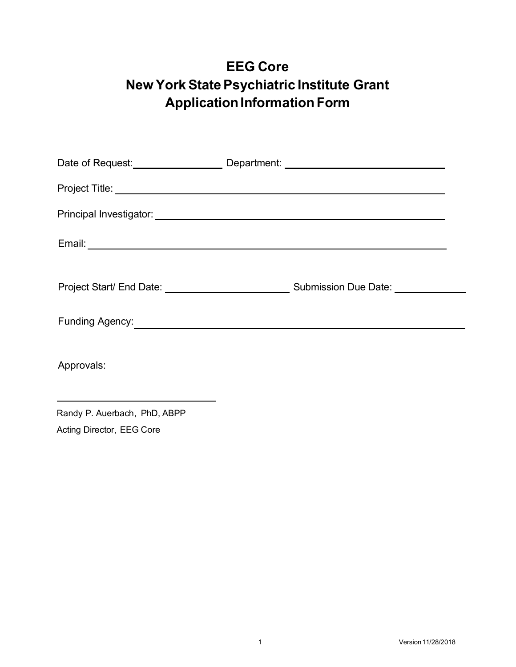## **EEG Core New York State Psychiatric Institute Grant Application Information Form**

|                                                                                                                                                                                                                                      | Date of Request: Department: 2008 2014 2022 2023 2024 2024 2024 2022 2024 2022 2024 2022 2022 2023 2024 2022 20 |
|--------------------------------------------------------------------------------------------------------------------------------------------------------------------------------------------------------------------------------------|-----------------------------------------------------------------------------------------------------------------|
|                                                                                                                                                                                                                                      |                                                                                                                 |
|                                                                                                                                                                                                                                      |                                                                                                                 |
| Email: <u>New York: New York: New York: New York: New York: New York: New York: New York: New York: New York: New York: New York: New York: New York: New York: New York: New York: New York: New York: New York: New York: New </u> |                                                                                                                 |
|                                                                                                                                                                                                                                      |                                                                                                                 |
| Funding Agency: <u>Contract Communication</u> of the contract of the contract of the contract of the contract of the contract of the contract of the contract of the contract of the contract of the contract of the contract of th  |                                                                                                                 |
| Approvals:                                                                                                                                                                                                                           |                                                                                                                 |

Randy P. Auerbach, PhD, ABPP Acting Director, EEG Core